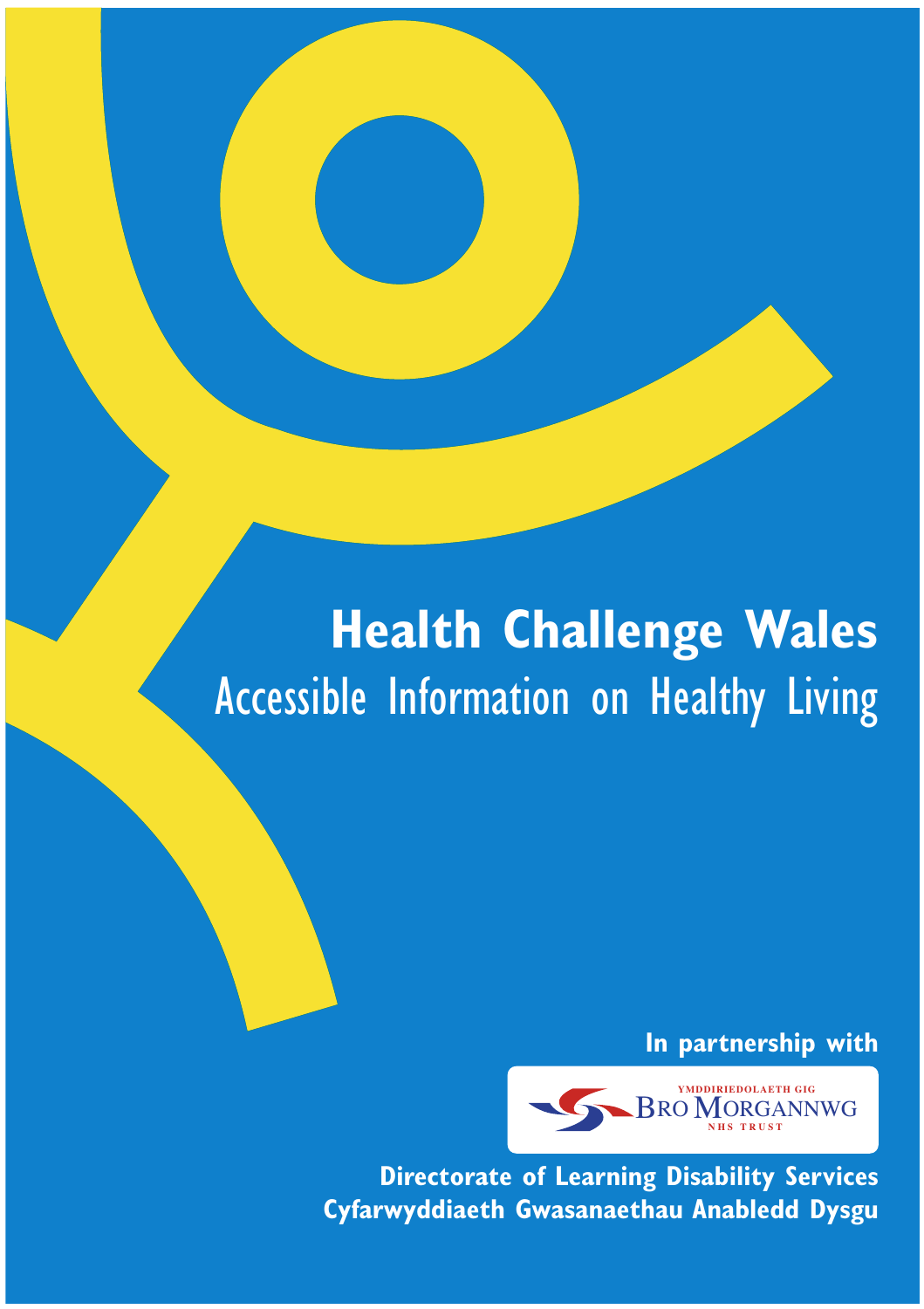## **Health Challenge Wales** Accessible Information on Healthy Living

**In partnership with**



**Directorate of Learning Disability Services Cyfarwyddiaeth Gwasanaethau Anabledd Dysgu**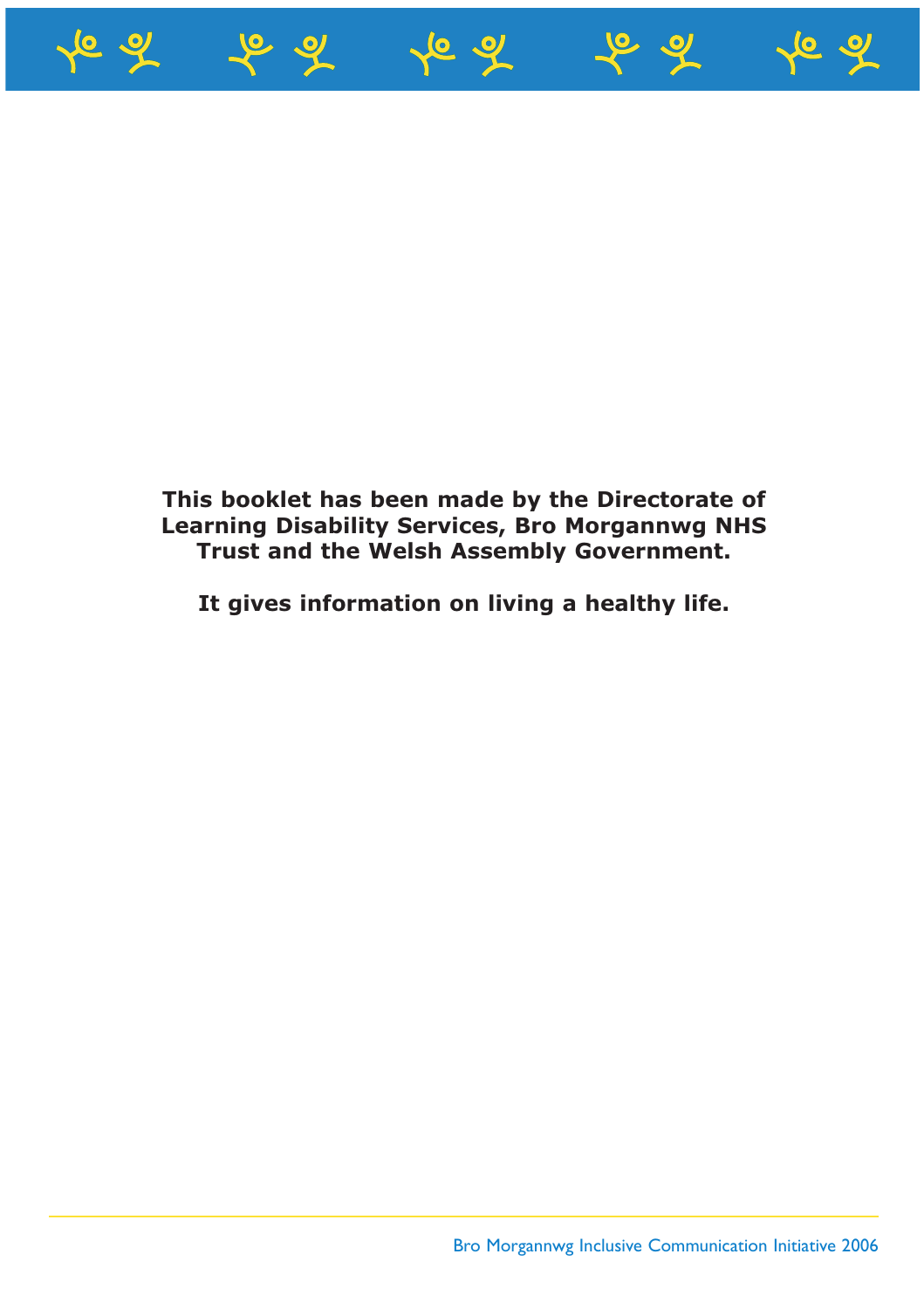

#### **This booklet has been made by the Directorate of Learning Disability Services, Bro Morgannwg NHS Trust and the Welsh Assembly Government.**

**It gives information on living a healthy life.**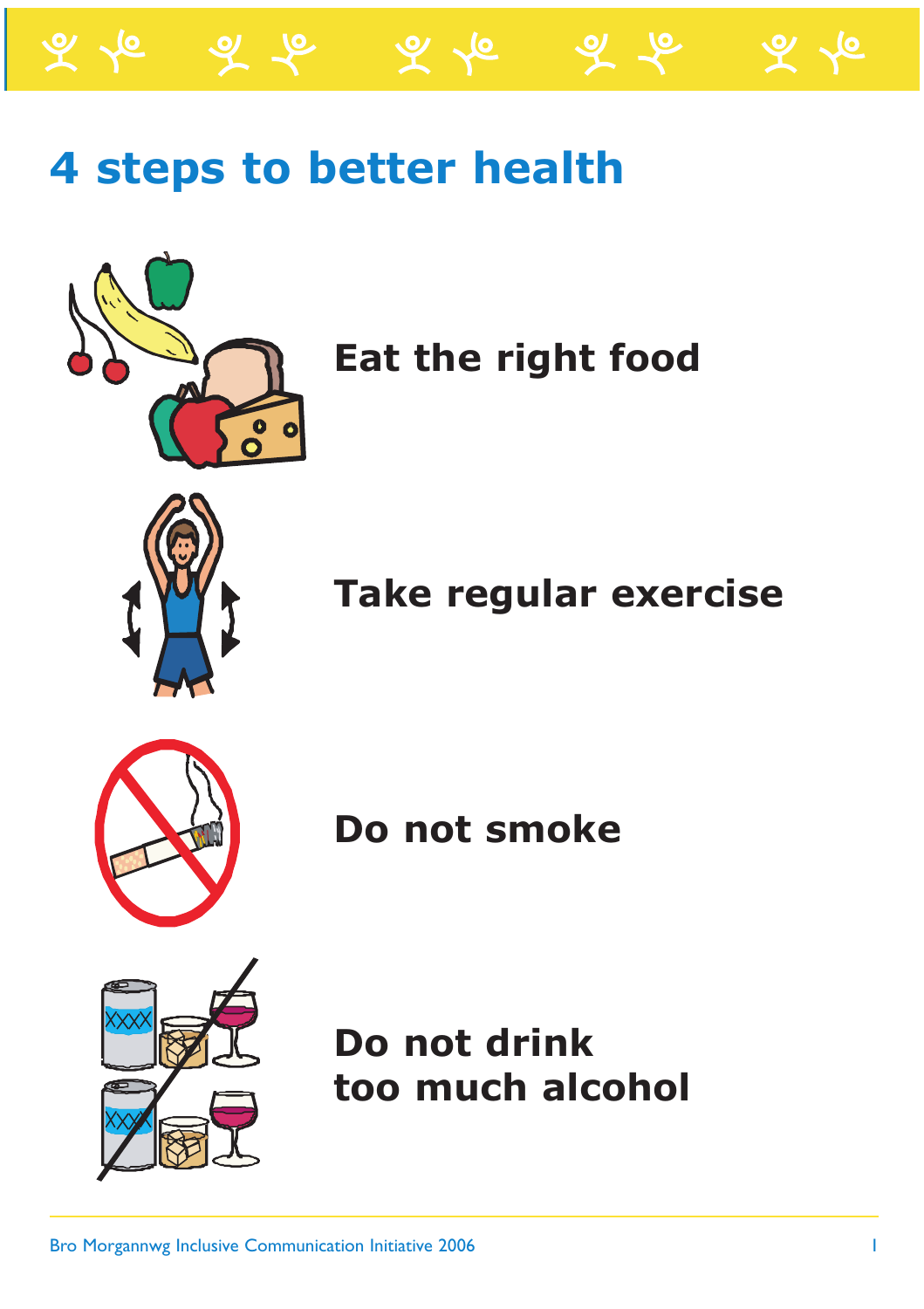

ふん



**Eat the right food**



**Take regular exercise**



**Do not smoke**



**Do not drink too much alcohol**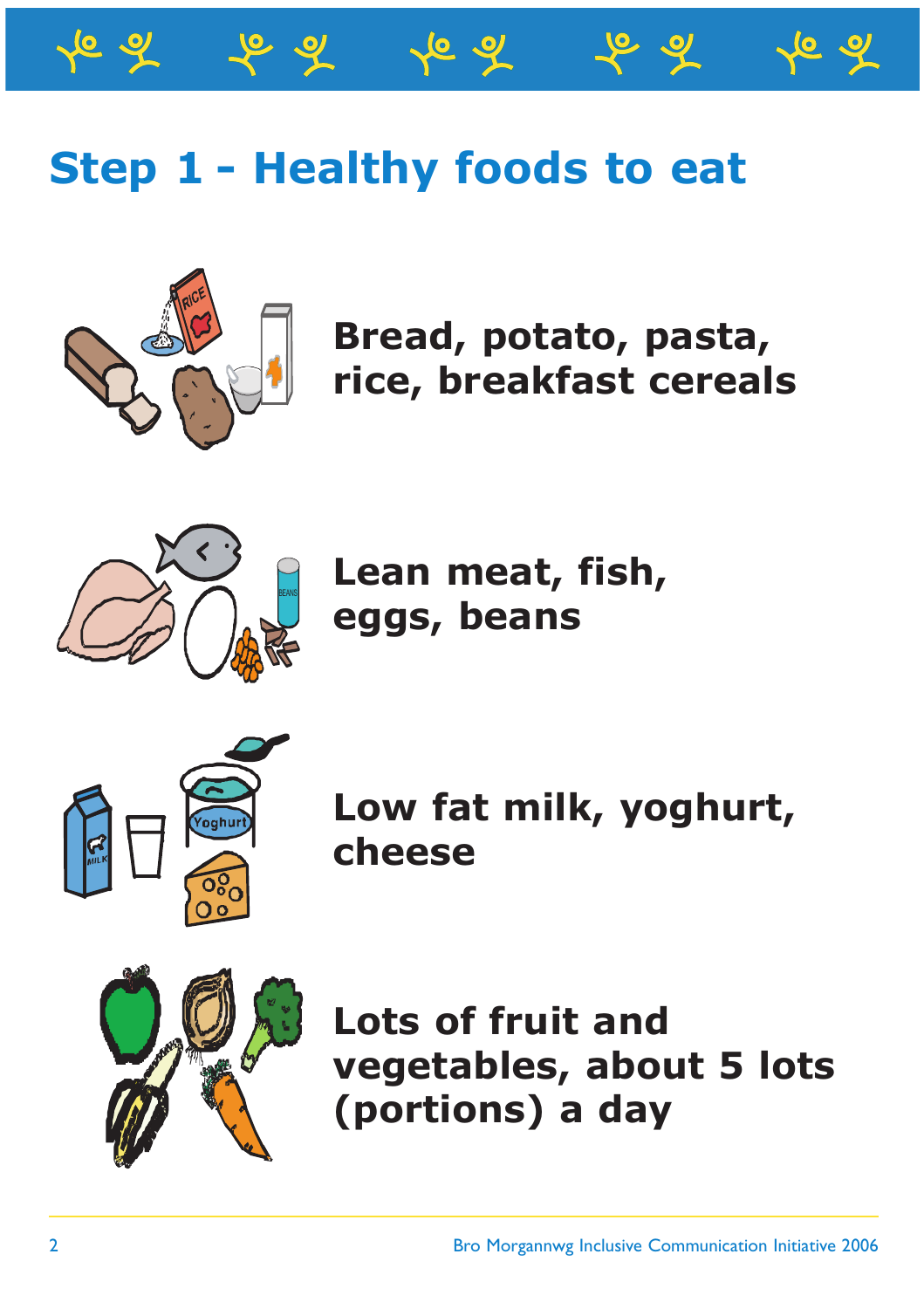



**Bread, potato, pasta, rice, breakfast cereals**



**Lean meat, fish, eggs, beans** 



**Low fat milk, yoghurt, cheese**



**Lots of fruit and vegetables, about 5 lots (portions) a day**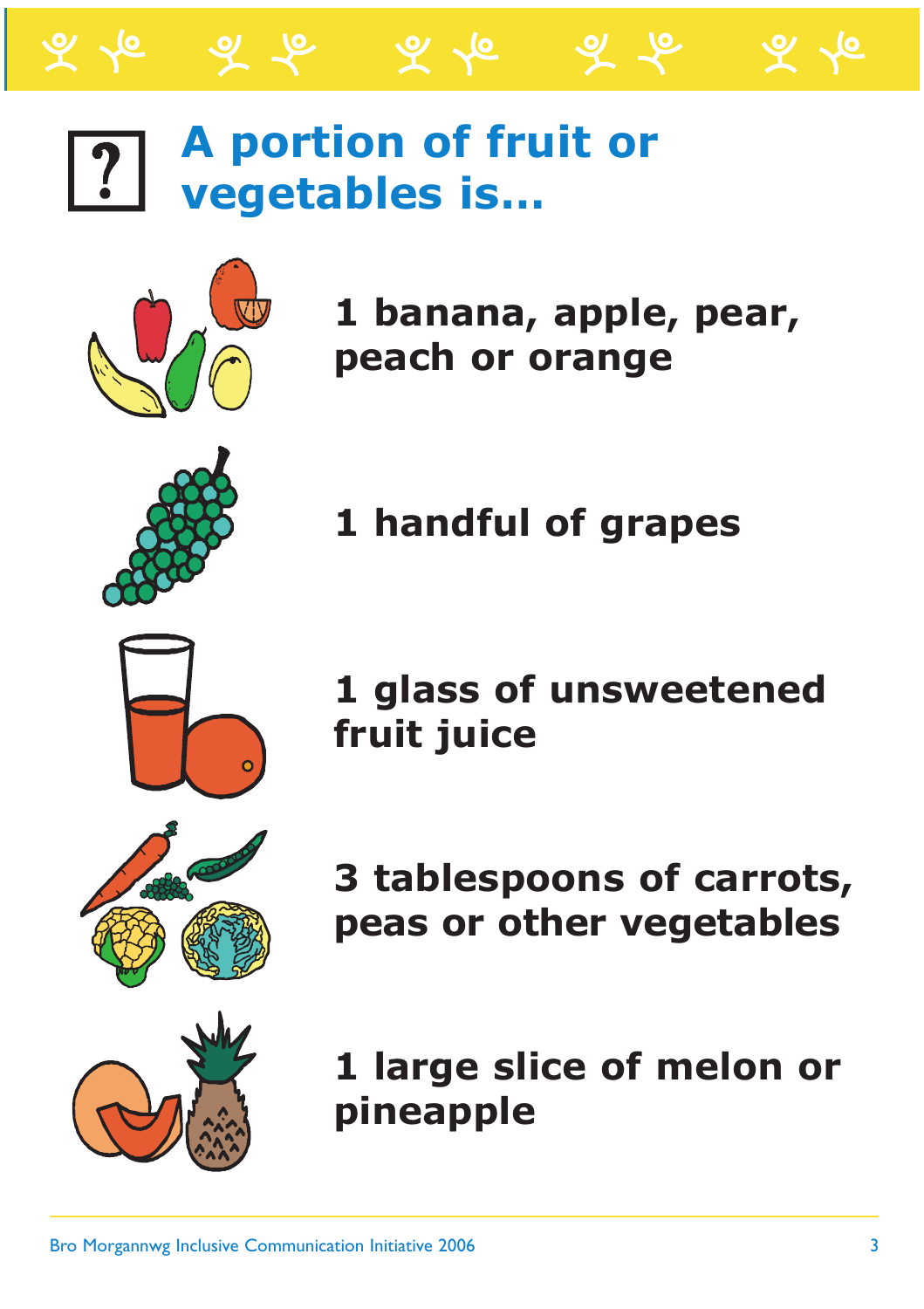## **A portion of fruit or vegetables is…**

ৰ ল

 $\mathcal{L}$   $\mathcal{L}$ 



**1 banana, apple, pear, peach or orange**



**1 handful of grapes**



**3 tablespoons of carrots, peas or other vegetables**

**1 large slice of melon or pineapple**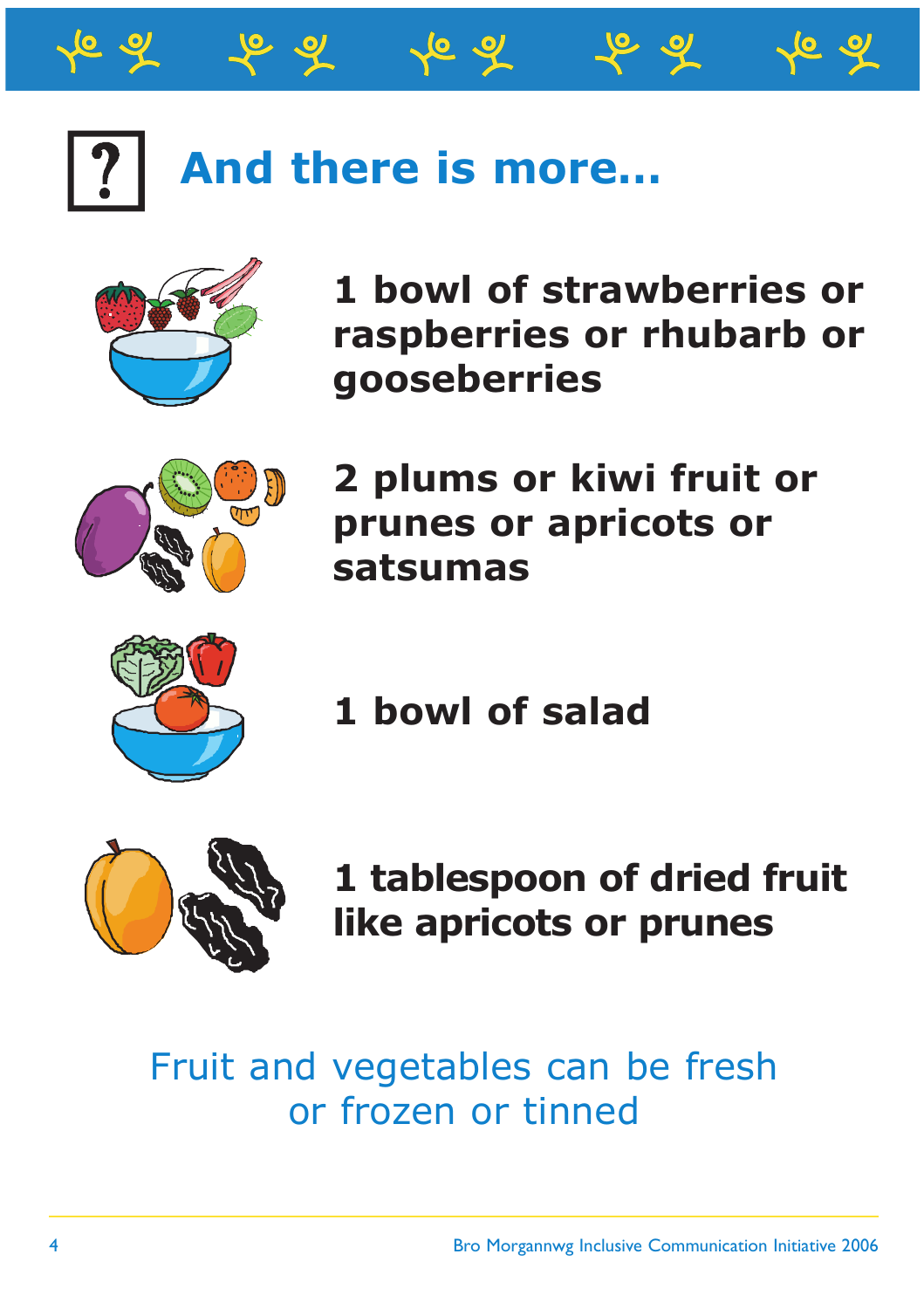## **And there is more…**

^6 ন



**1 bowl of strawberries or raspberries or rhubarb or gooseberries**



**2 plums or kiwi fruit or prunes or apricots or satsumas**

**1 bowl of salad**



**1 tablespoon of dried fruit like apricots or prunes**

#### Fruit and vegetables can be fresh or frozen or tinned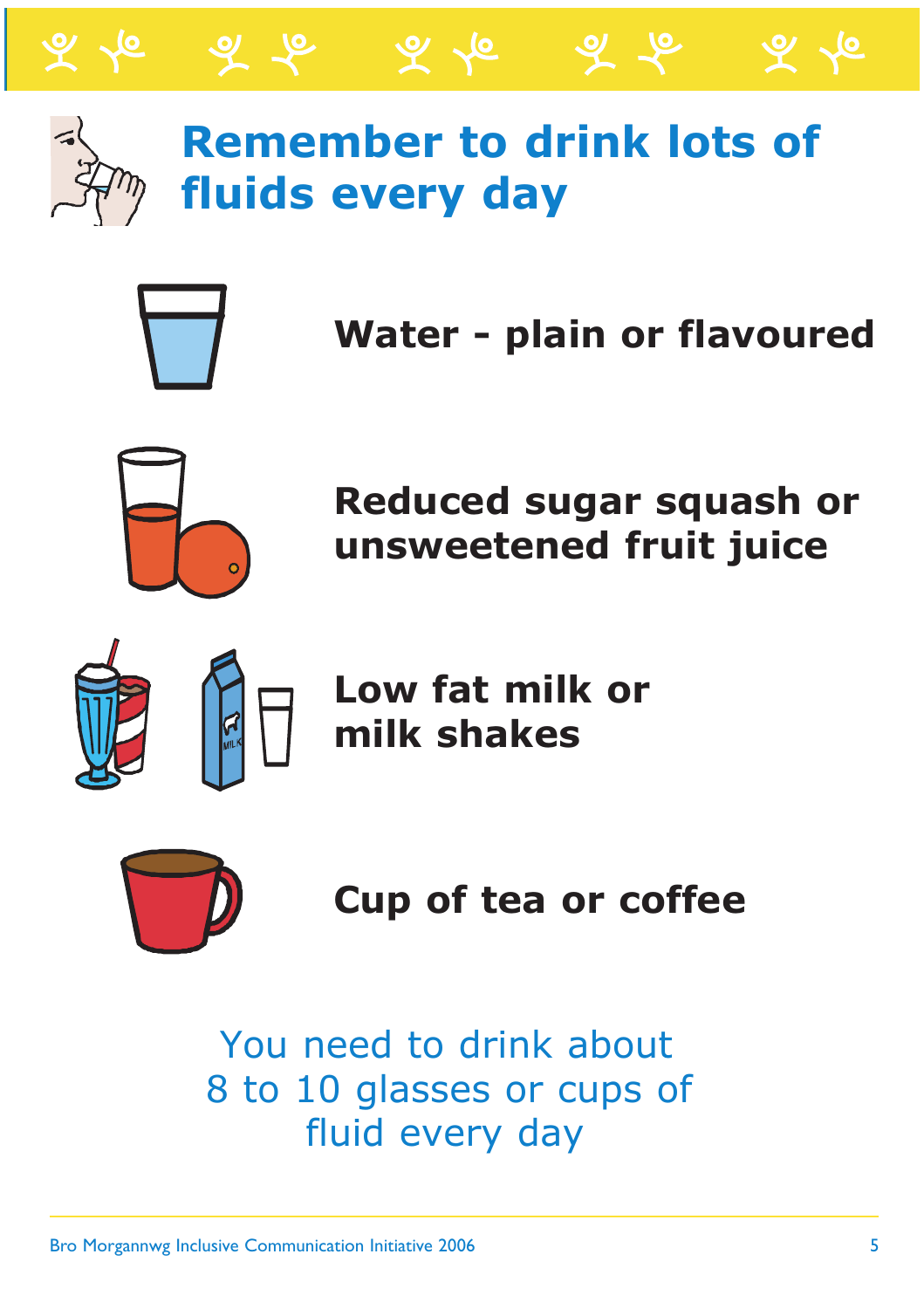

## **Remember to drink lots of fluids every day**

 $\mathcal{L}$   $\mathcal{L}$ 



**Water - plain or flavoured**

ৰ ক

 $\bm{\varphi}$  .



**Reduced sugar squash or unsweetened fruit juice**



**Low fat milk or milk shakes**



**Cup of tea or coffee**

 You need to drink about 8 to 10 glasses or cups of fluid every day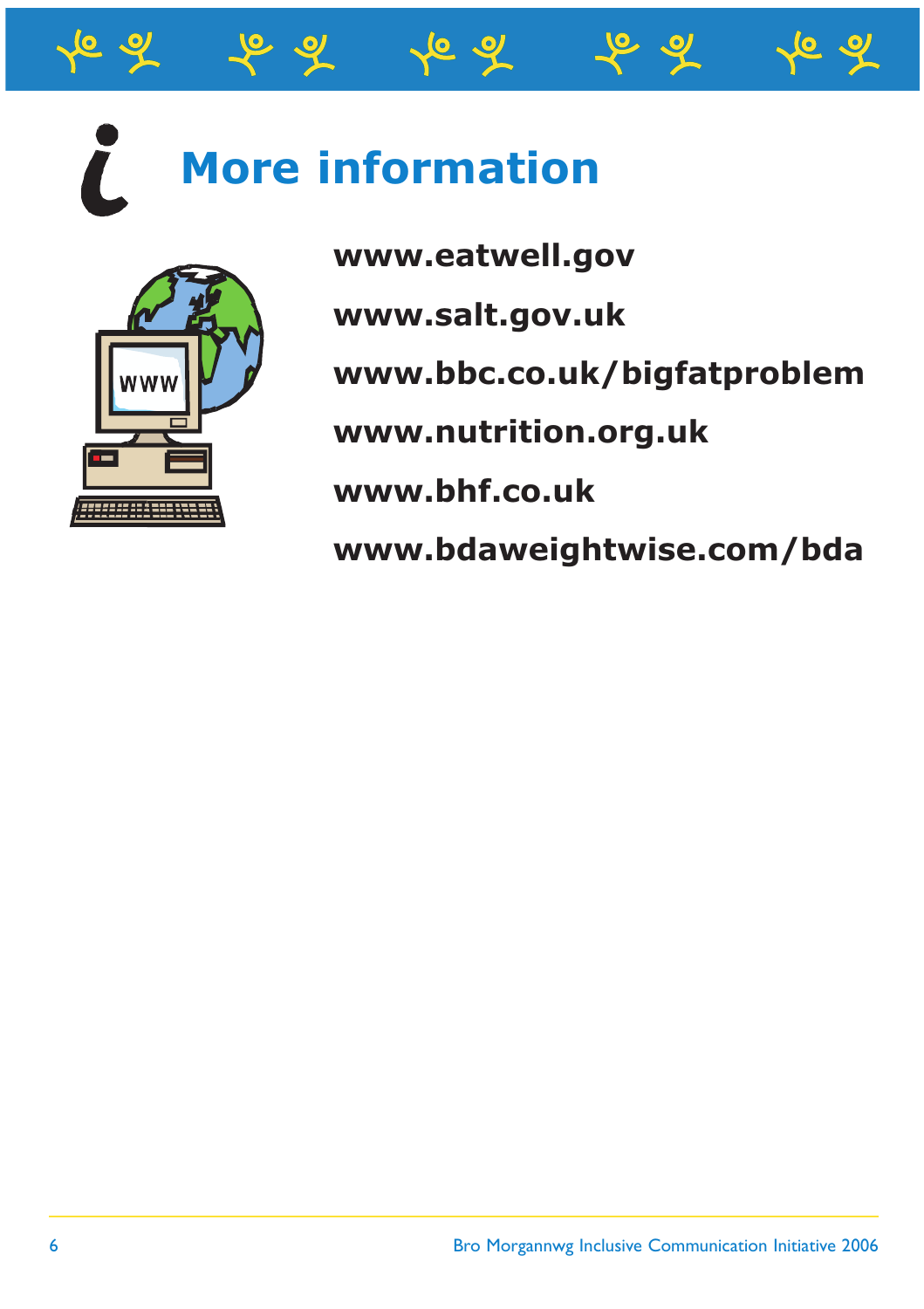## **More information**



**www.eatwell.gov**

**www.salt.gov.uk**

**www.bbc.co.uk/bigfatproblem**

**www.nutrition.org.uk**

**www.bhf.co.uk**

**www.bdaweightwise.com/bda**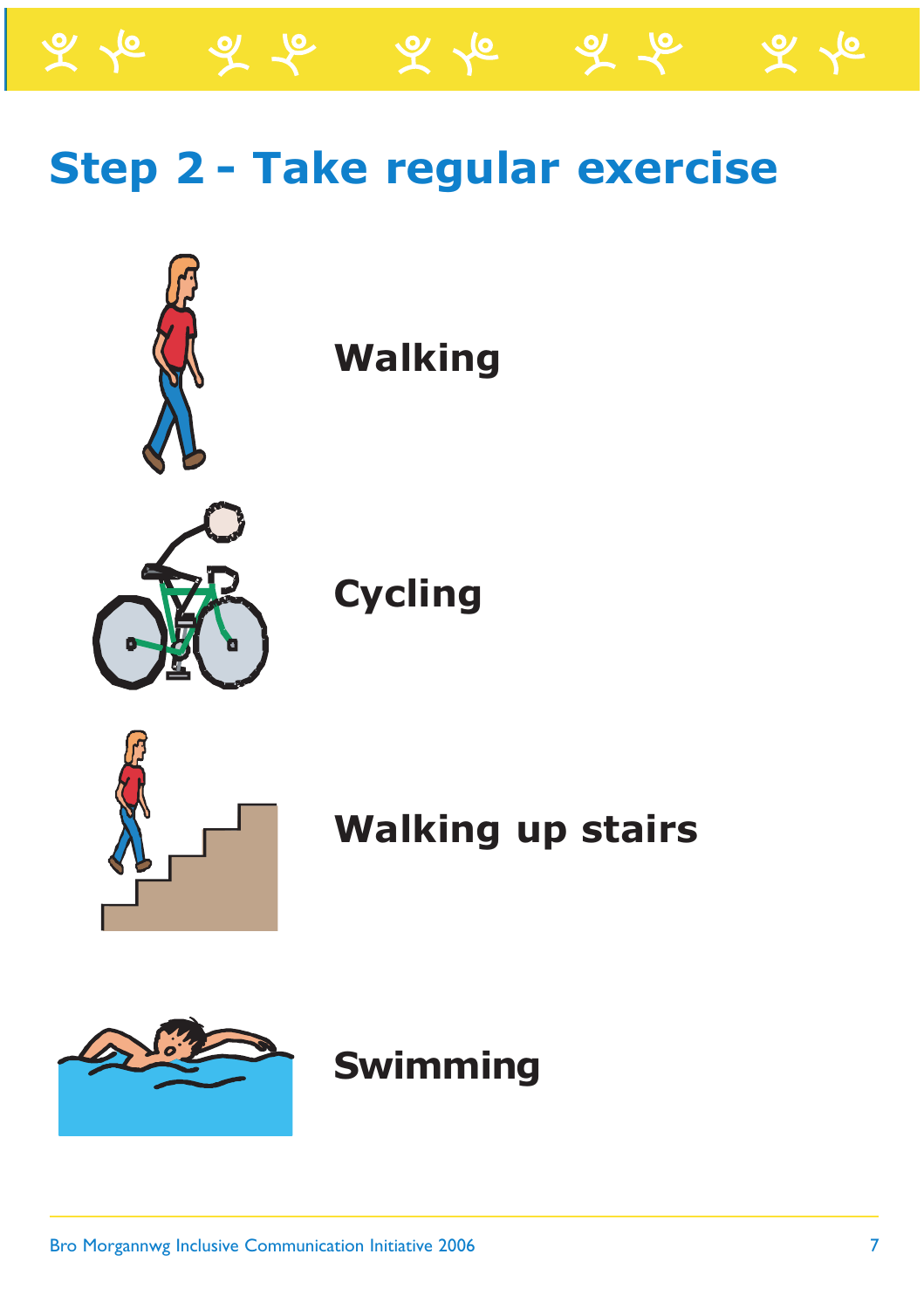

 $\mathscr{L} \curvearrowright$ 



#### **Walking**

**Cycling**



**Walking up stairs**



#### **Swimming**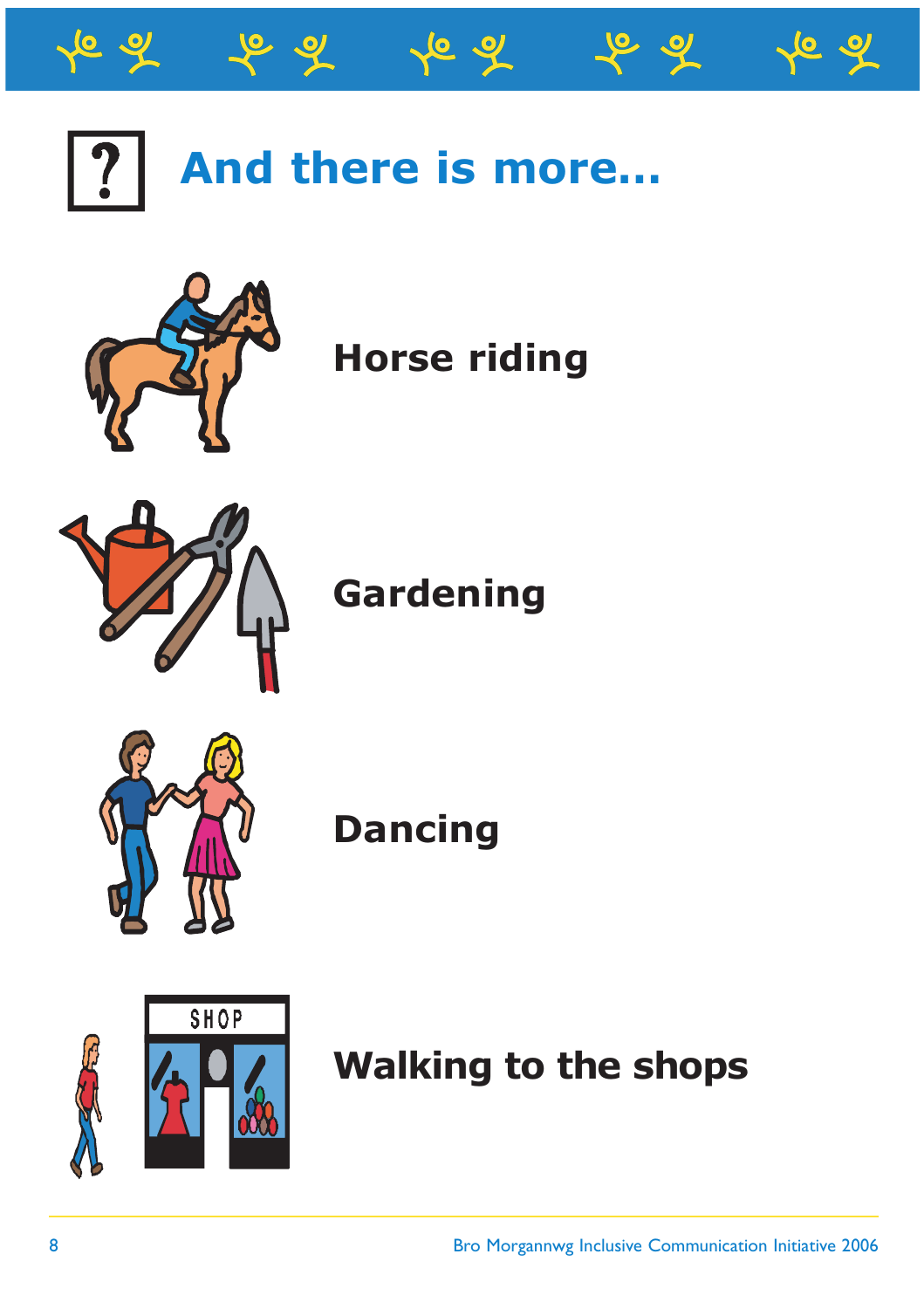





**Horse riding**



**Gardening**



**Dancing**



**Walking to the shops**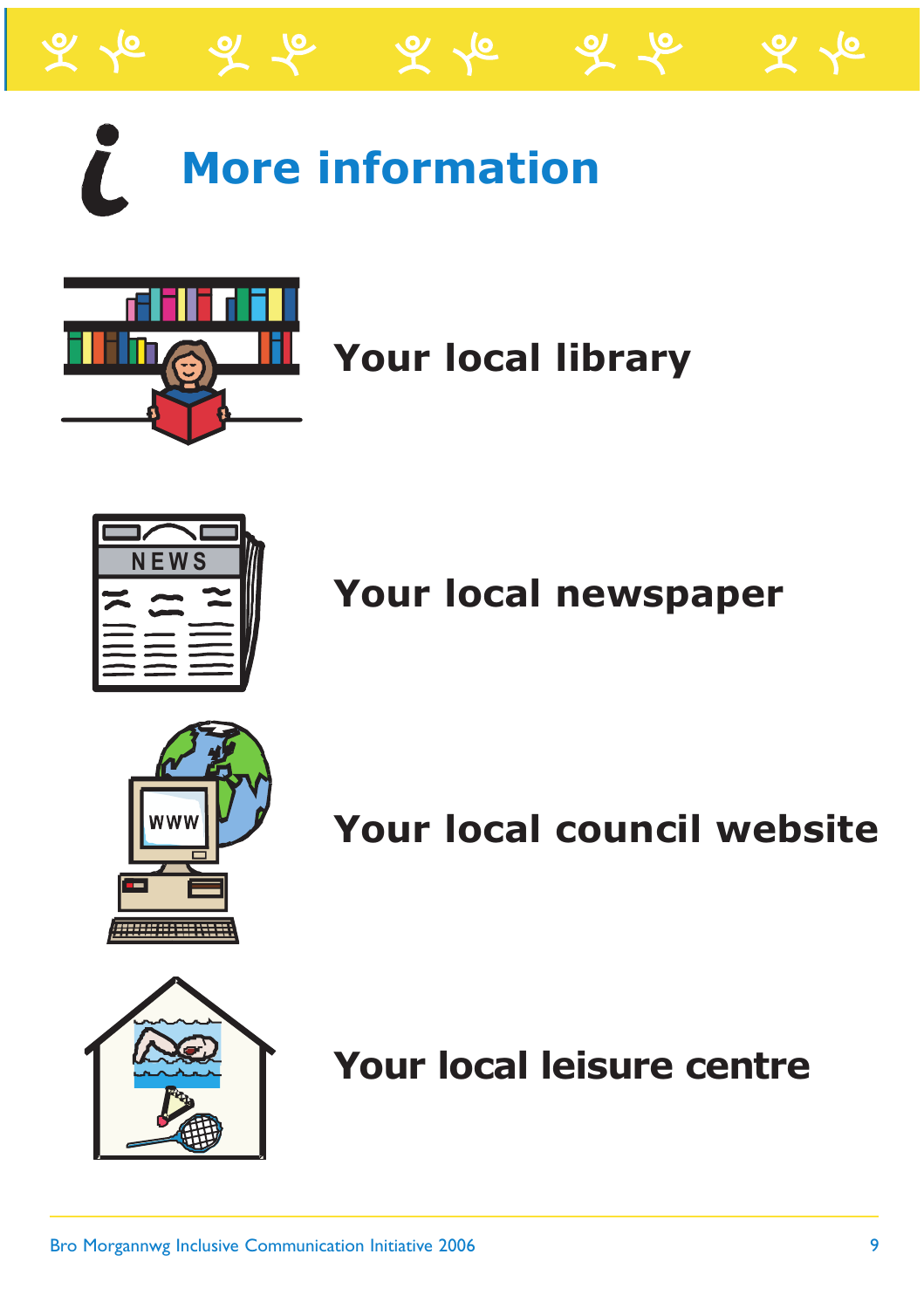

# **More information**



#### **Your local library**



**Your local newspaper**



**Your local council website**



**Your local leisure centre**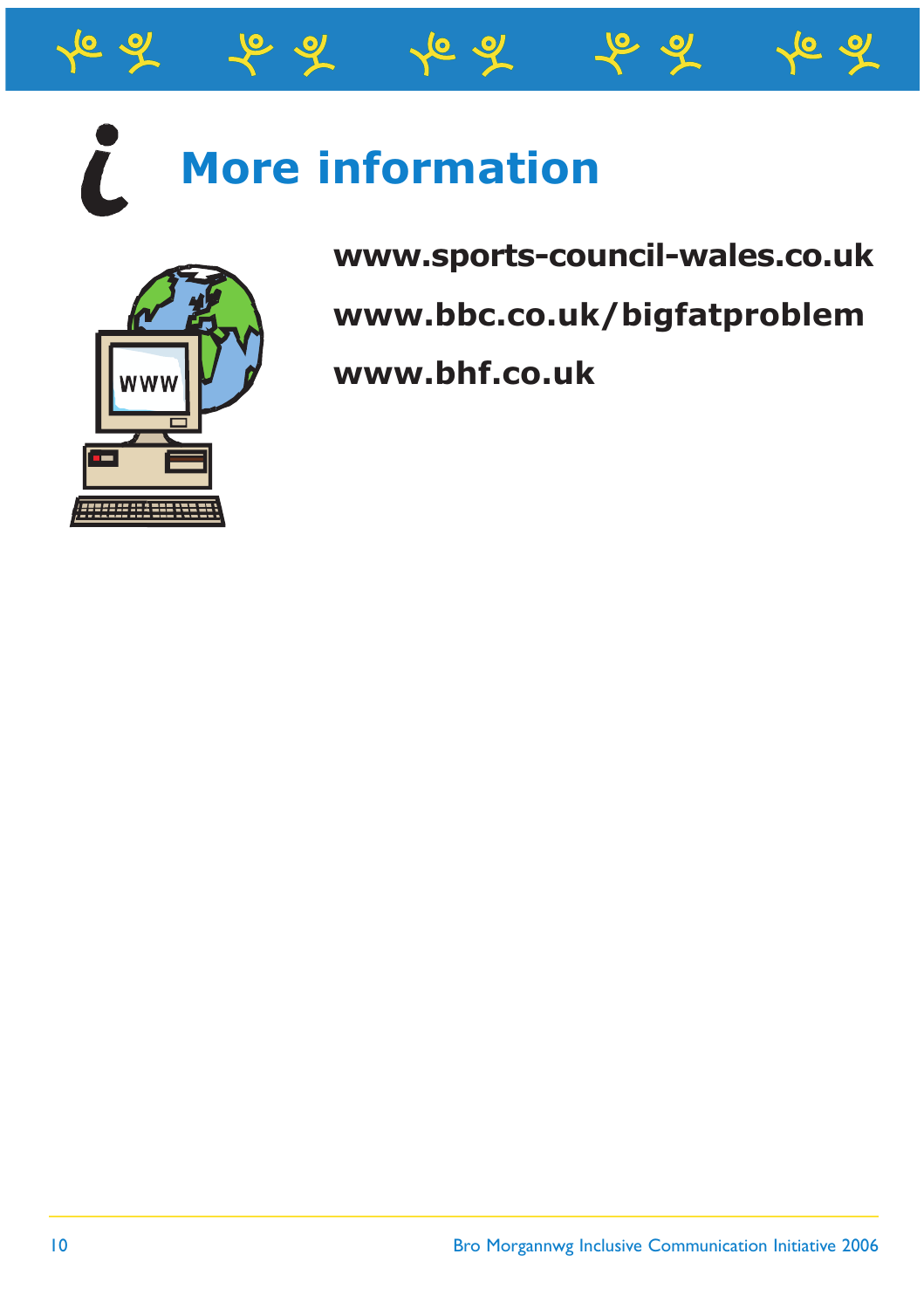

## **More information**



**www.sports-council-wales.co.uk**

**www.bbc.co.uk/bigfatproblem**

**www.bhf.co.uk**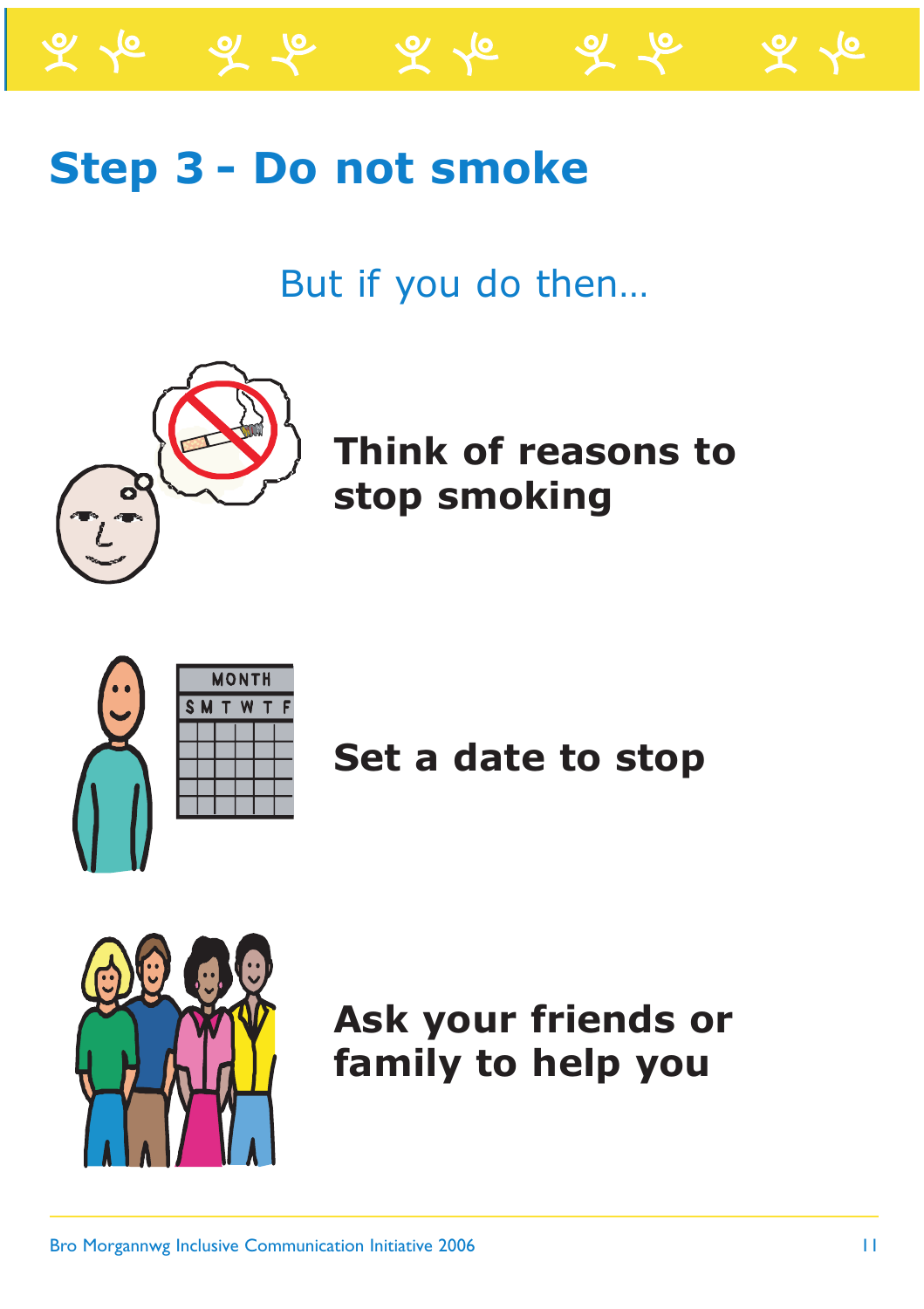

But if you do then…

ক ⁄ত



**Think of reasons to stop smoking**

|  | <b>MONTH</b> |      |  |  |  |
|--|--------------|------|--|--|--|
|  |              | SMTW |  |  |  |
|  |              |      |  |  |  |
|  |              |      |  |  |  |
|  |              |      |  |  |  |
|  |              |      |  |  |  |
|  |              |      |  |  |  |
|  |              |      |  |  |  |

 $\frac{1}{1}$ **Set a date to stop**



**Ask your friends or family to help you**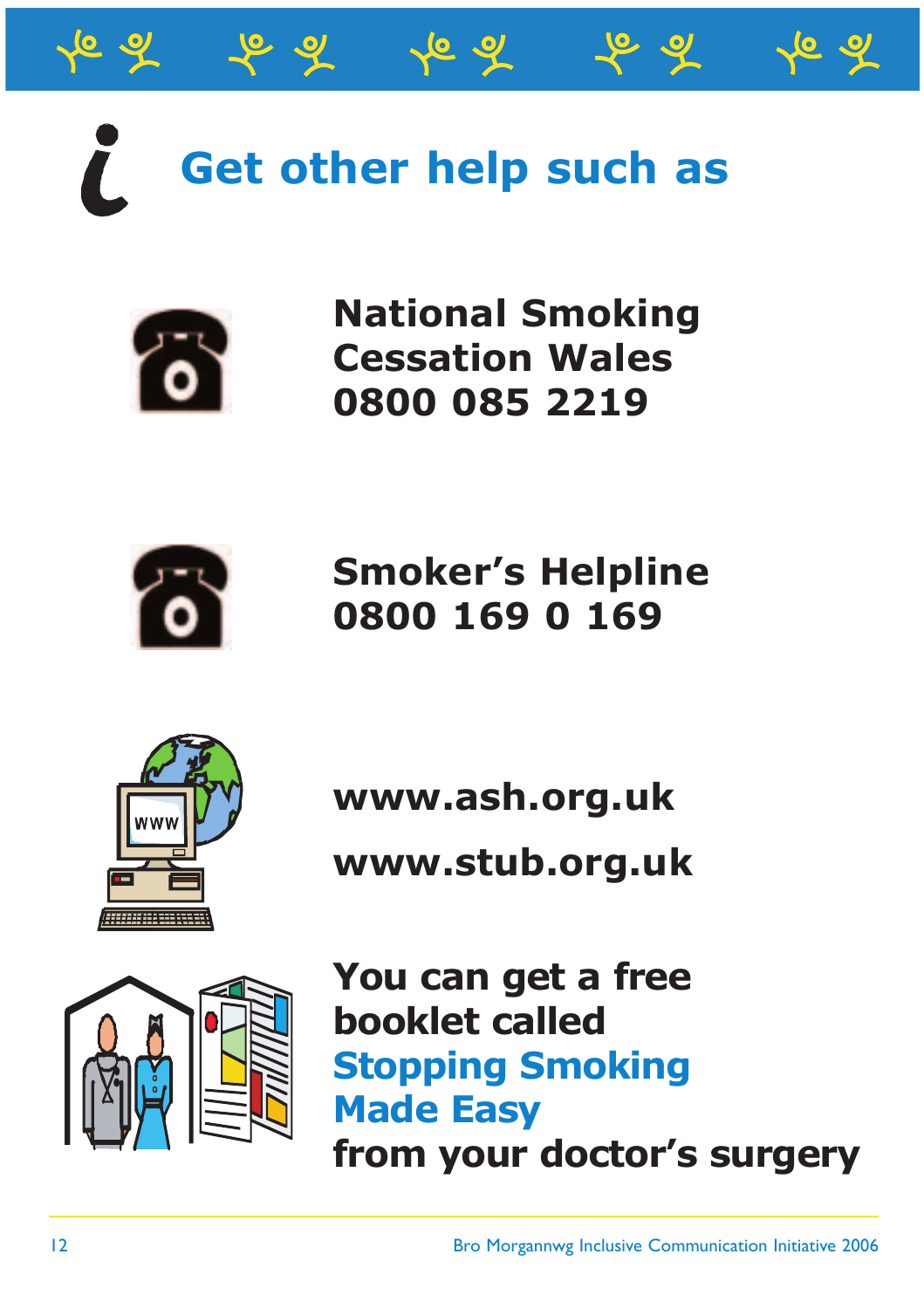

^6 ন



**National Smoking Cessation Wales 0800 085 2219**



**Smoker's Helpline 0800 169 0 169**



**www.ash.org.uk**

**www.stub.org.uk**



**You can get a free booklet called Stopping Smoking Made Easy from your doctor's surgery**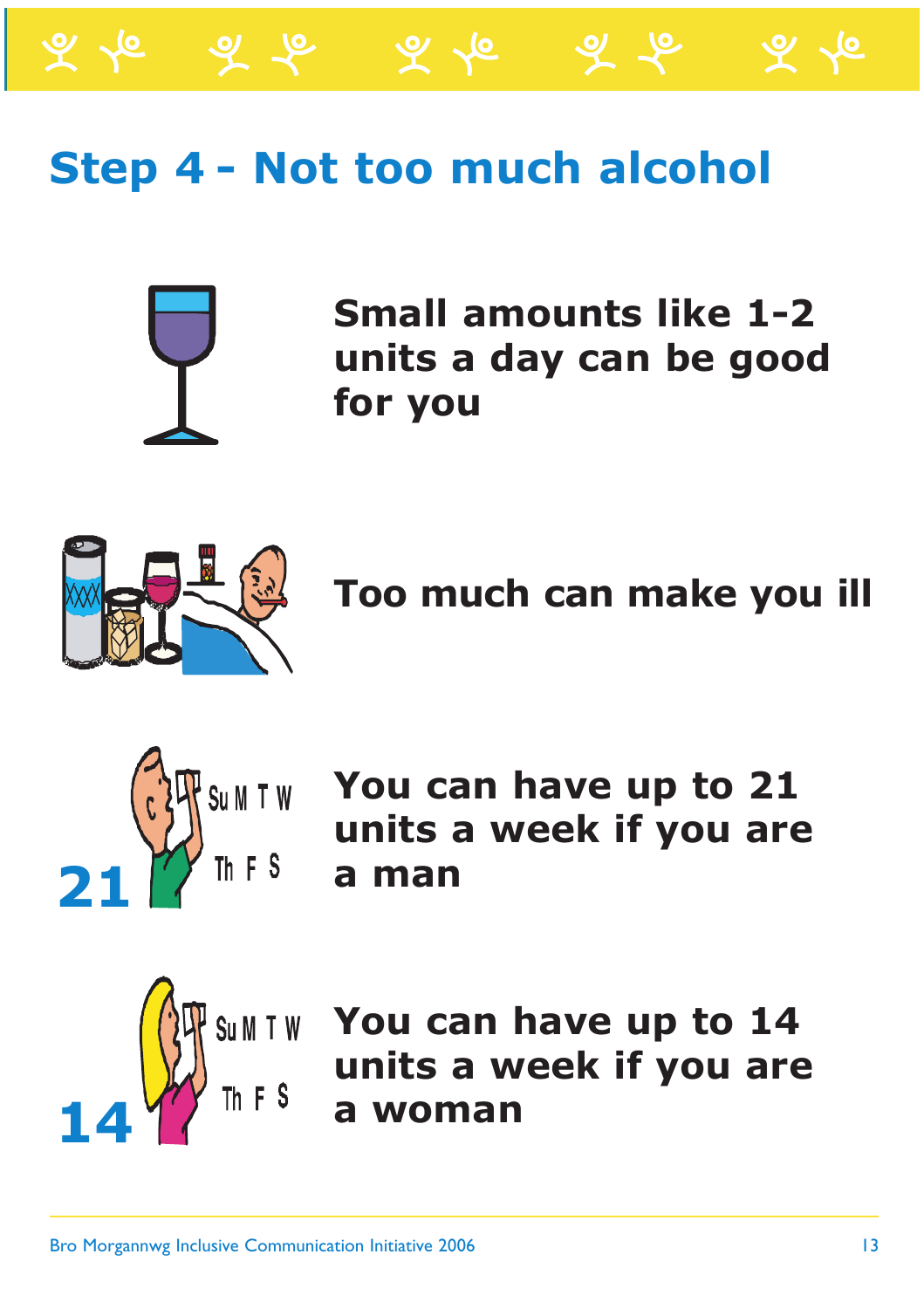#### **Step 4 - Not too much alcohol**

ふん



**Small amounts like 1-2 units a day can be good for you**

ৰ ক



**Too much can make you ill**



**You can have up to 21 units a week if you are a man**



**You can have up to 14 units a week if you are a woman**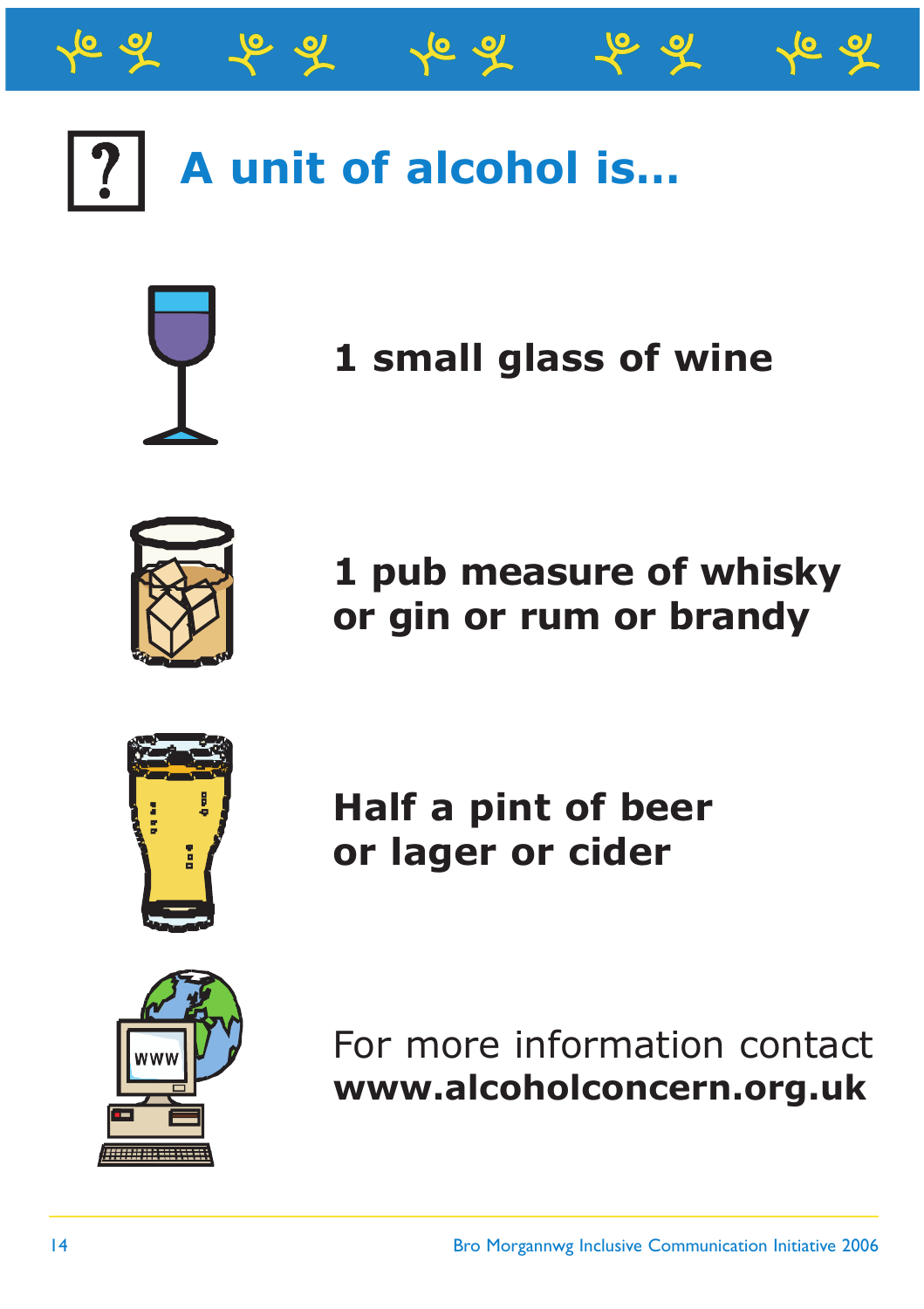

চ ন



#### **1 small glass of wine**



**1 pub measure of whisky or gin or rum or brandy**



**Half a pint of beer or lager or cider**



For more information contact **www.alcoholconcern.org.uk**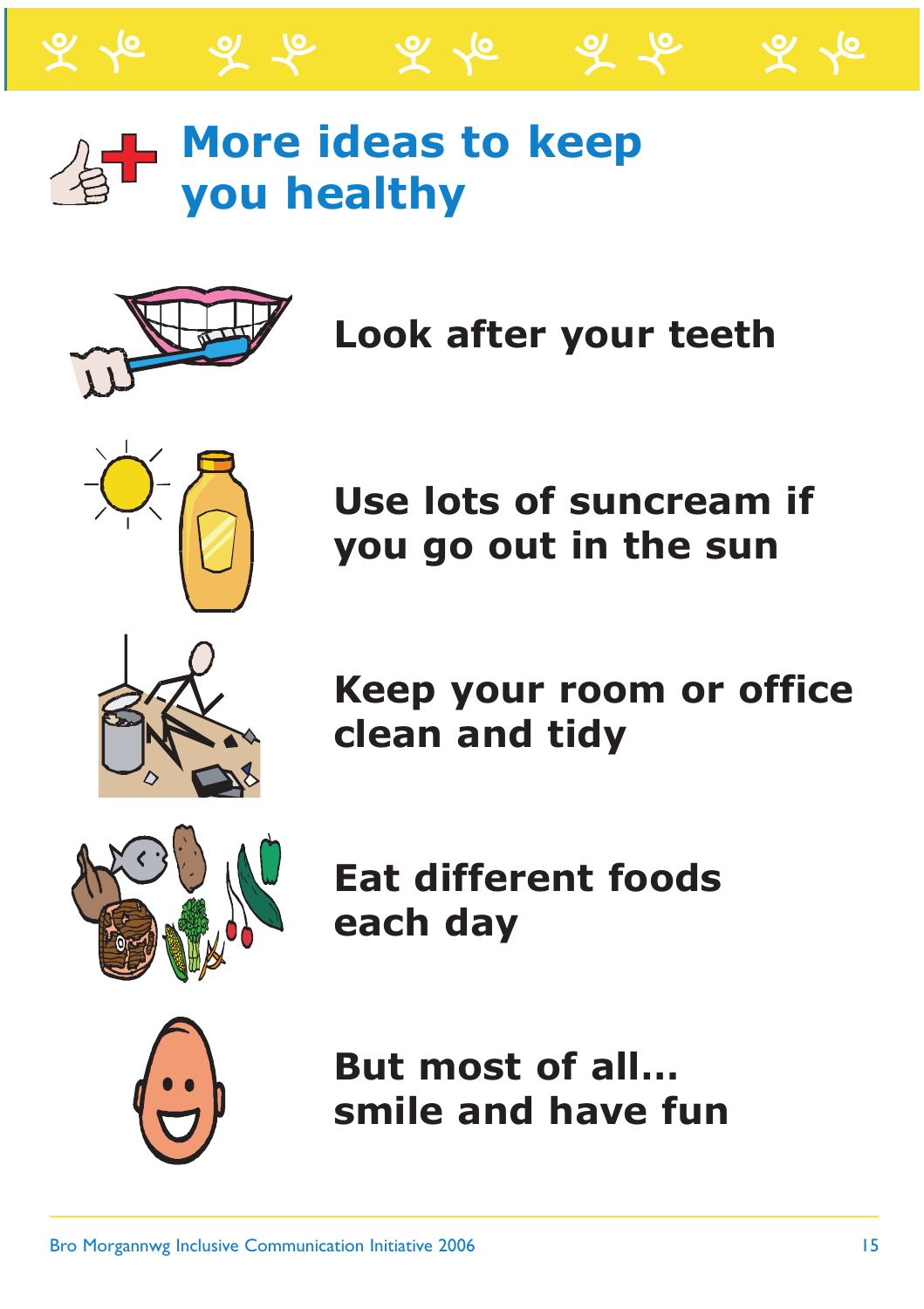

### **More ideas to keep you healthy**

 $\mathscr{L} \curvearrowright$ 



ৰ ক

**Look after your teeth**



**Use lots of suncream if you go out in the sun**



**Keep your room or office clean and tidy**



**Eat different foods each day**